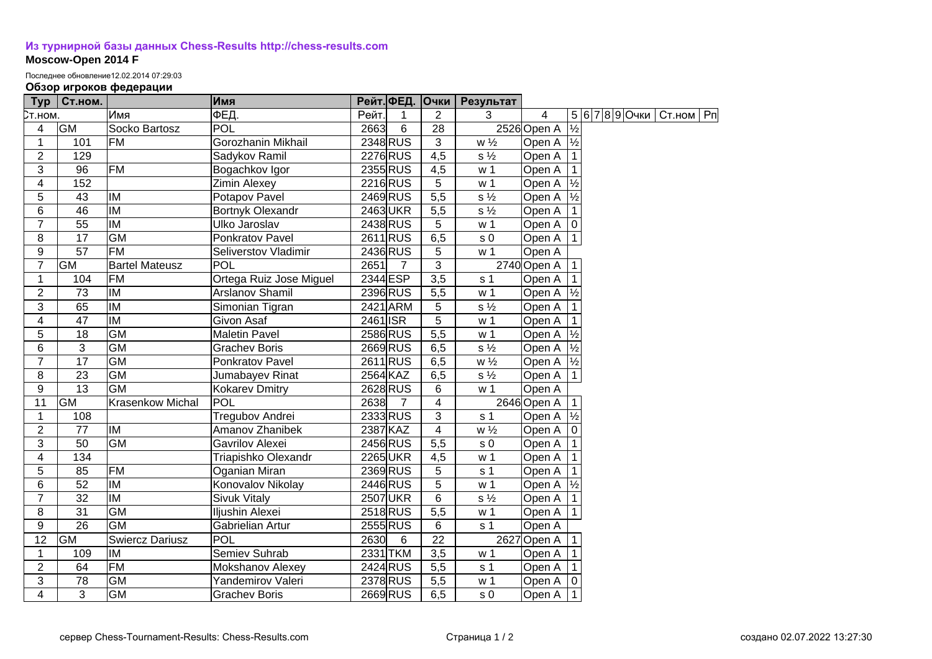## **[Из турнирной базы данных Chess-Results http://chess-results.com](http://chess-results.com/) Moscow-Open 2014 F**

Последнее обновление12.02.2014 07:29:03

## **Обзор игроков федерации**

| Typ                     | Ст.ном.         |                          | Имя                     |          |                | Рейт. ФЕД. Очки  | Результат      |                      |               |                |             |  |
|-------------------------|-----------------|--------------------------|-------------------------|----------|----------------|------------------|----------------|----------------------|---------------|----------------|-------------|--|
| Ст.ном.                 |                 | Имя                      | ФЕД.                    | Рейт.    | 1              | $\overline{2}$   | 3              | 4                    |               | 5 6 7 8 9 Очки | Ст.ном   Рп |  |
| 4                       | <b>GM</b>       | Socko Bartosz            | <b>POL</b>              | 2663     | 6              | $\overline{28}$  |                | 2526 Open A          | $\frac{1}{2}$ |                |             |  |
| $\mathbf{1}$            | 101             | <b>FM</b>                | Gorozhanin Mikhail      |          | 2348 RUS       | $\overline{3}$   | $w\frac{1}{2}$ | Open A $\frac{1}{2}$ |               |                |             |  |
| $\overline{2}$          | 129             |                          | Sadykov Ramil           |          | 2276 RUS       | $\overline{4,5}$ | $s\frac{1}{2}$ | Open A               |               |                |             |  |
| 3                       | 96              | <b>FM</b>                | Bogachkov Igor          |          | 2355 RUS       | 4,5              | w <sub>1</sub> | Open A               |               |                |             |  |
| $\overline{\mathbf{4}}$ | 152             |                          | <b>Zimin Alexey</b>     |          | 2216 RUS       | 5                | w <sub>1</sub> | Open A               | $\frac{1}{2}$ |                |             |  |
| 5                       | $\overline{43}$ | IM                       | Potapov Pavel           |          | 2469 RUS       | 5,5              | $s\frac{1}{2}$ | Open A               | $\frac{1}{2}$ |                |             |  |
| 6                       | $\overline{46}$ | $\overline{M}$           | Bortnyk Olexandr        |          | 2463UKR        | 5,5              | $s\frac{1}{2}$ | Open A               |               |                |             |  |
| $\overline{7}$          | 55              | <b>IM</b>                | Ulko Jaroslav           |          | 2438 RUS       | 5                | w <sub>1</sub> | Open A   0           |               |                |             |  |
| 8                       | 17              | <b>GM</b>                | Ponkratov Pavel         |          | 2611 RUS       | 6,5              | s <sub>0</sub> | Open A   1           |               |                |             |  |
| $9$                     | 57              | FM                       | Seliverstov Vladimir    |          | 2436 RUS       | 5                | w <sub>1</sub> | Open A               |               |                |             |  |
| $\overline{7}$          | GM              | <b>Bartel Mateusz</b>    | POL                     | 2651     | $\overline{7}$ | 3                |                | 2740 Open A          |               |                |             |  |
| 1                       | 104             | <b>FM</b>                | Ortega Ruiz Jose Miguel | 2344 ESP |                | 3,5              | s <sub>1</sub> | Open A               |               |                |             |  |
| $\overline{2}$          | 73              | IM                       | Arslanov Shamil         |          | 2396 RUS       | 5,5              | w <sub>1</sub> | Open A $\frac{1}{2}$ |               |                |             |  |
| 3                       | 65              | IM                       | Simonian Tigran         |          | 2421 ARM       | 5                | $s\frac{1}{2}$ | Open A               |               |                |             |  |
| 4                       | 47              | IM                       | Givon Asaf              | 2461 ISR |                | 5                | w <sub>1</sub> | Open A               |               |                |             |  |
| 5                       | 18              | <b>GM</b>                | <b>Maletin Pavel</b>    |          | 2586 RUS       | $\overline{5,5}$ | w <sub>1</sub> | Open A $\frac{1}{2}$ |               |                |             |  |
| 6                       | 3               | <b>GM</b>                | <b>Grachev Boris</b>    |          | 2669RUS        | 6,5              | $s\frac{1}{2}$ | Open A $\frac{1}{2}$ |               |                |             |  |
| $\overline{7}$          | 17              | <b>GM</b>                | Ponkratov Pavel         |          | 2611 RUS       | 6,5              | $w\frac{1}{2}$ | Open A  ½            |               |                |             |  |
| 8                       | 23              | <b>GM</b>                | Jumabayev Rinat         | 2564 KAZ |                | 6,5              | $s\frac{1}{2}$ | Open A               | $\vert$ 1     |                |             |  |
| 9                       | 13              | <b>GM</b>                | Kokarev Dmitry          |          | 2628 RUS       | 6                | w <sub>1</sub> | Open A               |               |                |             |  |
| 11                      | GM              | <b>Krasenkow Michal</b>  | POL                     | 2638     | $\overline{7}$ | 4                |                | 2646 Open A          |               |                |             |  |
| $\mathbf{1}$            | 108             |                          | Tregubov Andrei         |          | 2333 RUS       | 3                | s <sub>1</sub> | Open A               | $\frac{1}{2}$ |                |             |  |
| $\overline{2}$          | 77              | <b>IM</b>                | Amanov Zhanibek         | 2387 KAZ |                | 4                | $w\frac{1}{2}$ | Open A               | ۱o            |                |             |  |
| $\overline{3}$          | 50              | <b>GM</b>                | Gavrilov Alexei         |          | 2456 RUS       | 5,5              | s <sub>0</sub> | Open A               |               |                |             |  |
| $\overline{4}$          | 134             |                          | Triapishko Olexandr     |          | 2265UKR        | 4,5              | w <sub>1</sub> | Open A               |               |                |             |  |
| 5                       | 85              | <b>FM</b>                | Oganian Miran           |          | 2369 RUS       | 5                | s <sub>1</sub> | Open A               |               |                |             |  |
| 6                       | 52              | <b>IM</b>                | Konovalov Nikolay       |          | 2446 RUS       | 5                | w <sub>1</sub> | Open A $\frac{1}{2}$ |               |                |             |  |
| $\overline{7}$          | $\overline{32}$ | $\overline{\mathsf{IM}}$ | <b>Sivuk Vitaly</b>     |          | 2507 UKR       | $6\phantom{1}6$  | $s\frac{1}{2}$ | Open A               |               |                |             |  |
| $\overline{8}$          | $\overline{31}$ | $\overline{GM}$          | Iljushin Alexei         |          | 2518RUS        | $\overline{5,5}$ | w <sub>1</sub> | Open A   1           |               |                |             |  |
| 9                       | $\overline{26}$ | GM                       | Gabrielian Artur        |          | 2555 RUS       | 6                | s <sub>1</sub> | Open A               |               |                |             |  |
| $\overline{12}$         | <b>GM</b>       | <b>Swiercz Dariusz</b>   | POL                     | 2630     | 6              | 22               |                | 2627 Open A          |               |                |             |  |
| 1                       | 109             | IM                       | Semiev Suhrab           |          | 2331 TKM       | 3,5              | w <sub>1</sub> | Open A               |               |                |             |  |
| $\overline{2}$          | 64              | <b>FM</b>                | Mokshanov Alexey        |          | 2424 RUS       | 5,5              | s <sub>1</sub> | Open A               |               |                |             |  |
| 3                       | 78              | $\overline{GM}$          | Yandemirov Valeri       |          | 2378 RUS       | $\overline{5,5}$ | w <sub>1</sub> | Open A               |               |                |             |  |
| $\overline{4}$          | 3               | GM                       | <b>Grachev Boris</b>    |          | 2669 RUS       | 6,5              | s <sub>0</sub> | Open A 11            |               |                |             |  |